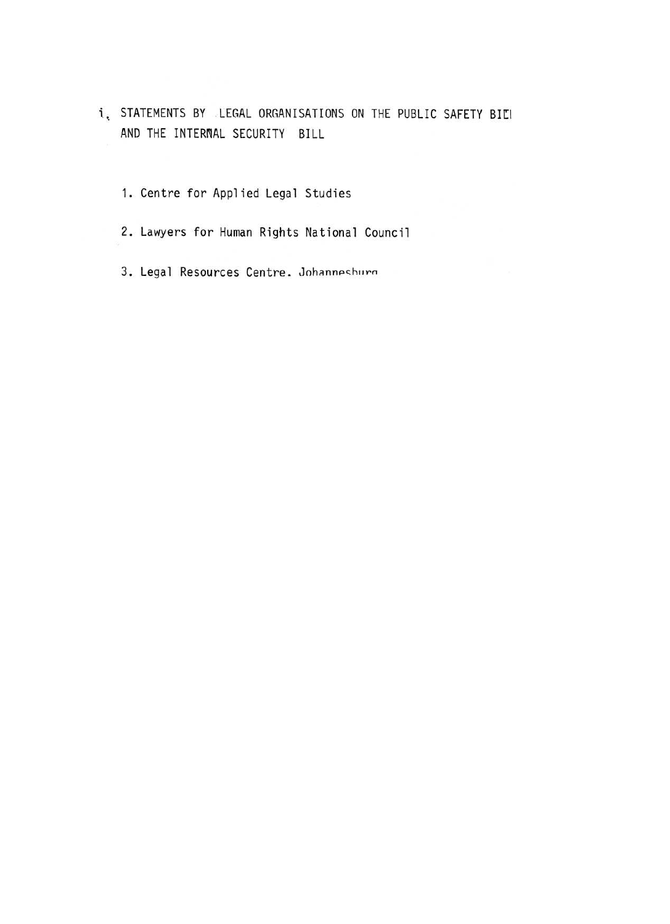- i, STATEMENTS BY LEGAL ORGANISATIONS ON THE PUBLIC SAFETY BILI AND THE INTERNAL SECURITY BILL
	- 1. Centre for Applied Legal Studies
	- 2. Lawyers for Human Rights National Council
	- 3. Legal Resources Centre. Johanneshurg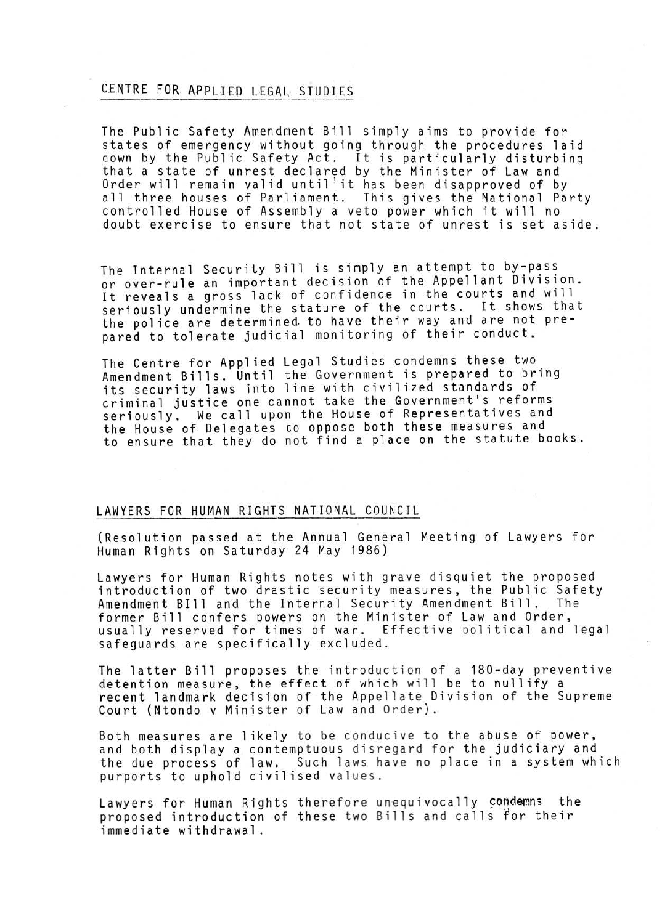## CENTRE FOR. APPLIED LEGAL STUDIES

The Public Safety Amendment Bill simply aims to provide for states of emergency without going through the procedures laid down by the Public Safety Act . It is particularly disturbing that a state of unrest declared by the Minister of Law and Order will remain valid until 'it has been disapproved of by all three houses of Parliament. This gives the National Party controlled House of Assembly a veto power which it will no doubt exercise to ensure that not state of unrest is set aside .

The Internal Security Bill is simply an attempt to by-pass or over-rule an important decision of the Appellant Division . It reveals a gross lack of confidence in the courts and will seriously undermine the stature of the courts. It shows that the police are determined to have their way and are not prepared to tolerate judicial monitoring of their conduct.

The Centre for Applied Legal Studies condemns these two Amendment Bills. Until the Government is prepared to bring its security laws into line with civilized standards of criminal justice one cannot take the Government's reforms seriously. We call upon the House of Representatives and the House of Delegates co oppose both these measures and to ensure that they do not find a place on the statute books .

## LAWYERS FOR HUMAN RIGHTS NATIONAL COUNCIL

(Resolution passed at the Annual General Meeting of Lawyers for Human Rights on Saturday 24 May 1986)

Lawyers for Human Rights notes with grave disquiet the proposed introduction of two drastic security measures, the Public Safety Amendment Blll and the Internal Security Amendment Bill . The former Bill confers powers on the Minister of Law and Order, usually reserved for times of war. Effective political and legal safeguards are specifically excluded .

The latter Bill proposes the introduction of a 180-day preventive detention measure, the effect of which will be to nullify a recent landmark decision of the Appellate Division of the Supreme Court (Ntondo v Minister of Law and Order) .

Both measures are likely to be conducive to the abuse of power, and both display a contemptuous disregard for the judiciary and the due process of law. Such laws have no place in a system which purports to uphold civilised values.

Lawyers for Human Rights therefore unequivocally condemns the proposed introduction of these two Bills and calls for their immediate withdrawal .